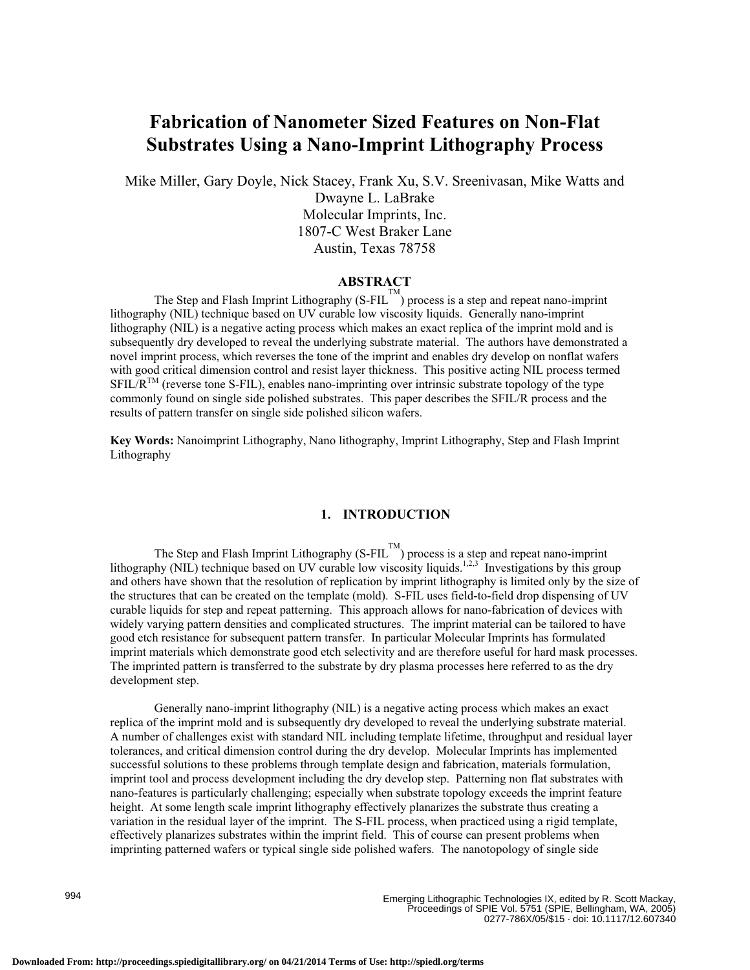# **Fabrication of Nanometer Sized Features on Non-Flat Substrates Using a Nano-Imprint Lithography Process**

Mike Miller, Gary Doyle, Nick Stacey, Frank Xu, S.V. Sreenivasan, Mike Watts and

Dwayne L. LaBrake Molecular Imprints, Inc. 1807-C West Braker Lane Austin, Texas 78758

# **ABSTRACT**

The Step and Flash Imprint Lithography (S-FIL<sup>TM</sup>) process is a step and repeat nano-imprint lithography (NIL) technique based on UV curable low viscosity liquids. Generally nano-imprint lithography (NIL) is a negative acting process which makes an exact replica of the imprint mold and is subsequently dry developed to reveal the underlying substrate material. The authors have demonstrated a novel imprint process, which reverses the tone of the imprint and enables dry develop on nonflat wafers with good critical dimension control and resist layer thickness. This positive acting NIL process termed  $SFIL/R<sup>TM</sup>$  (reverse tone S-FIL), enables nano-imprinting over intrinsic substrate topology of the type commonly found on single side polished substrates. This paper describes the SFIL/R process and the results of pattern transfer on single side polished silicon wafers.

**Key Words:** Nanoimprint Lithography, Nano lithography, Imprint Lithography, Step and Flash Imprint Lithography

## **1. INTRODUCTION**

The Step and Flash Imprint Lithography (S-FIL<sup>TM</sup>) process is a step and repeat nano-imprint lithography (NIL) technique based on UV curable low viscosity liquids.<sup>1,2,3</sup> Investigations by this group and others have shown that the resolution of replication by imprint lithography is limited only by the size of the structures that can be created on the template (mold). S-FIL uses field-to-field drop dispensing of UV curable liquids for step and repeat patterning. This approach allows for nano-fabrication of devices with widely varying pattern densities and complicated structures. The imprint material can be tailored to have good etch resistance for subsequent pattern transfer. In particular Molecular Imprints has formulated imprint materials which demonstrate good etch selectivity and are therefore useful for hard mask processes. The imprinted pattern is transferred to the substrate by dry plasma processes here referred to as the dry development step.

Generally nano-imprint lithography (NIL) is a negative acting process which makes an exact replica of the imprint mold and is subsequently dry developed to reveal the underlying substrate material. A number of challenges exist with standard NIL including template lifetime, throughput and residual layer tolerances, and critical dimension control during the dry develop. Molecular Imprints has implemented successful solutions to these problems through template design and fabrication, materials formulation, imprint tool and process development including the dry develop step. Patterning non flat substrates with nano-features is particularly challenging; especially when substrate topology exceeds the imprint feature height. At some length scale imprint lithography effectively planarizes the substrate thus creating a variation in the residual layer of the imprint. The S-FIL process, when practiced using a rigid template, effectively planarizes substrates within the imprint field. This of course can present problems when imprinting patterned wafers or typical single side polished wafers. The nanotopology of single side

Emerging Lithographic Technologies IX, edited by R. Scott Mackay, Proceedings of SPIE Vol. 5751 (SPIE, Bellingham, WA, 2005) 0277-786X/05/\$15 · doi: 10.1117/12.607340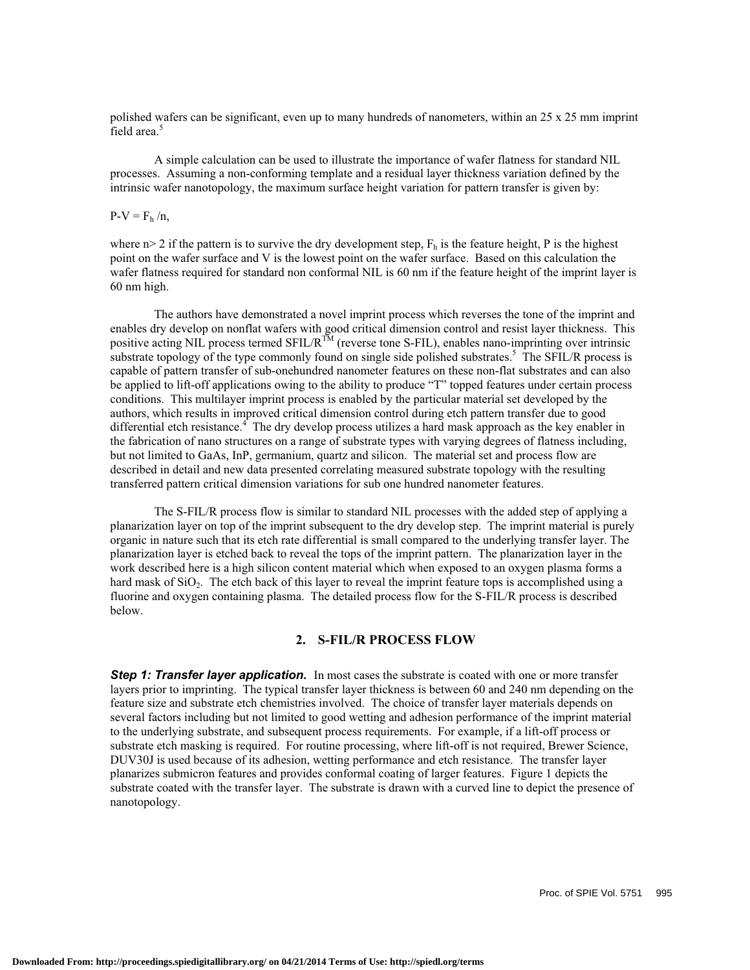polished wafers can be significant, even up to many hundreds of nanometers, within an 25 x 25 mm imprint field area.<sup>5</sup>

A simple calculation can be used to illustrate the importance of wafer flatness for standard NIL processes. Assuming a non-conforming template and a residual layer thickness variation defined by the intrinsic wafer nanotopology, the maximum surface height variation for pattern transfer is given by:

#### $P-V = F<sub>h</sub>/n$ ,

where n> 2 if the pattern is to survive the dry development step,  $F_h$  is the feature height, P is the highest point on the wafer surface and V is the lowest point on the wafer surface. Based on this calculation the wafer flatness required for standard non conformal NIL is 60 nm if the feature height of the imprint layer is 60 nm high.

The authors have demonstrated a novel imprint process which reverses the tone of the imprint and enables dry develop on nonflat wafers with good critical dimension control and resist layer thickness. This positive acting NIL process termed SFIL/R<sup>TM</sup> (reverse tone S-FIL), enables nano-imprinting over intrinsic substrate topology of the type commonly found on single side polished substrates.<sup>5</sup> The SFIL/R process is capable of pattern transfer of sub-onehundred nanometer features on these non-flat substrates and can also be applied to lift-off applications owing to the ability to produce "T" topped features under certain process conditions. This multilayer imprint process is enabled by the particular material set developed by the authors, which results in improved critical dimension control during etch pattern transfer due to good differential etch resistance.<sup>4</sup> The dry develop process utilizes a hard mask approach as the key enabler in the fabrication of nano structures on a range of substrate types with varying degrees of flatness including, but not limited to GaAs, InP, germanium, quartz and silicon. The material set and process flow are described in detail and new data presented correlating measured substrate topology with the resulting transferred pattern critical dimension variations for sub one hundred nanometer features.

The S-FIL/R process flow is similar to standard NIL processes with the added step of applying a planarization layer on top of the imprint subsequent to the dry develop step. The imprint material is purely organic in nature such that its etch rate differential is small compared to the underlying transfer layer. The planarization layer is etched back to reveal the tops of the imprint pattern. The planarization layer in the work described here is a high silicon content material which when exposed to an oxygen plasma forms a hard mask of  $SiO<sub>2</sub>$ . The etch back of this layer to reveal the imprint feature tops is accomplished using a fluorine and oxygen containing plasma. The detailed process flow for the S-FIL/R process is described below.

#### **2. S-FIL/R PROCESS FLOW**

**Step 1: Transfer layer application.** In most cases the substrate is coated with one or more transfer layers prior to imprinting. The typical transfer layer thickness is between 60 and 240 nm depending on the feature size and substrate etch chemistries involved. The choice of transfer layer materials depends on several factors including but not limited to good wetting and adhesion performance of the imprint material to the underlying substrate, and subsequent process requirements. For example, if a lift-off process or substrate etch masking is required. For routine processing, where lift-off is not required, Brewer Science, DUV30J is used because of its adhesion, wetting performance and etch resistance. The transfer layer planarizes submicron features and provides conformal coating of larger features. Figure 1 depicts the substrate coated with the transfer layer. The substrate is drawn with a curved line to depict the presence of nanotopology.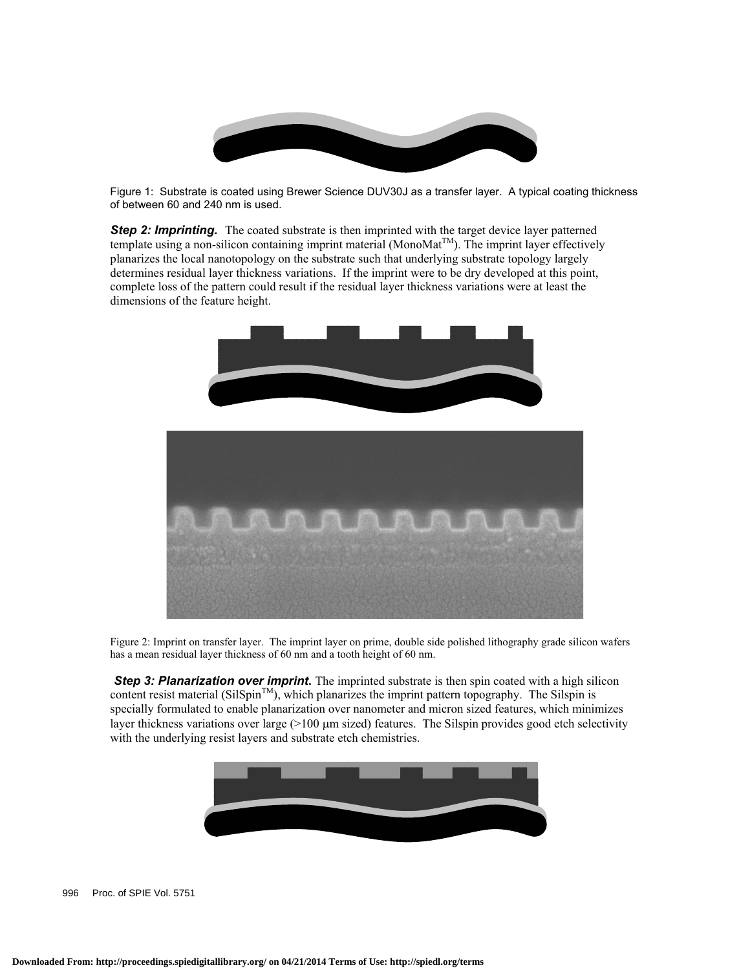

Figure 1: Substrate is coated using Brewer Science DUV30J as a transfer layer. A typical coating thickness of between 60 and 240 nm is used.

**Step 2: Imprinting.** The coated substrate is then imprinted with the target device layer patterned template using a non-silicon containing imprint material (MonoMat<sup>TM</sup>). The imprint layer effectively planarizes the local nanotopology on the substrate such that underlying substrate topology largely determines residual layer thickness variations. If the imprint were to be dry developed at this point, complete loss of the pattern could result if the residual layer thickness variations were at least the dimensions of the feature height.





Figure 2: Imprint on transfer layer. The imprint layer on prime, double side polished lithography grade silicon wafers has a mean residual layer thickness of 60 nm and a tooth height of 60 nm.

**Step 3: Planarization over imprint.** The imprinted substrate is then spin coated with a high silicon content resist material (SilSpin<sup>TM</sup>), which planarizes the imprint pattern topography. The Silspin is specially formulated to enable planarization over nanometer and micron sized features, which minimizes layer thickness variations over large  $(>100 \mu m$  sized) features. The Silspin provides good etch selectivity with the underlying resist layers and substrate etch chemistries.



996 Proc. of SPIE Vol. 5751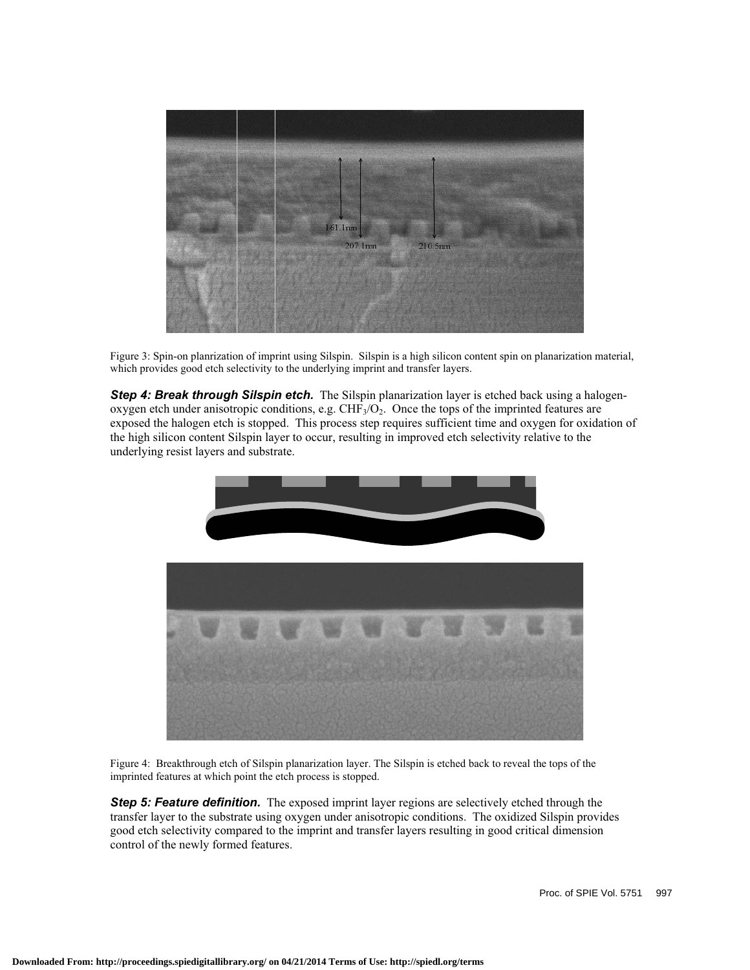

Figure 3: Spin-on planrization of imprint using Silspin. Silspin is a high silicon content spin on planarization material, which provides good etch selectivity to the underlying imprint and transfer layers.

**Step 4: Break through Silspin etch.** The Silspin planarization layer is etched back using a halogenoxygen etch under anisotropic conditions, e.g.  $CHF<sub>3</sub>/O<sub>2</sub>$ . Once the tops of the imprinted features are exposed the halogen etch is stopped. This process step requires sufficient time and oxygen for oxidation of the high silicon content Silspin layer to occur, resulting in improved etch selectivity relative to the underlying resist layers and substrate.



Figure 4: Breakthrough etch of Silspin planarization layer. The Silspin is etched back to reveal the tops of the imprinted features at which point the etch process is stopped.

**Step 5: Feature definition.** The exposed imprint layer regions are selectively etched through the transfer layer to the substrate using oxygen under anisotropic conditions. The oxidized Silspin provides good etch selectivity compared to the imprint and transfer layers resulting in good critical dimension control of the newly formed features.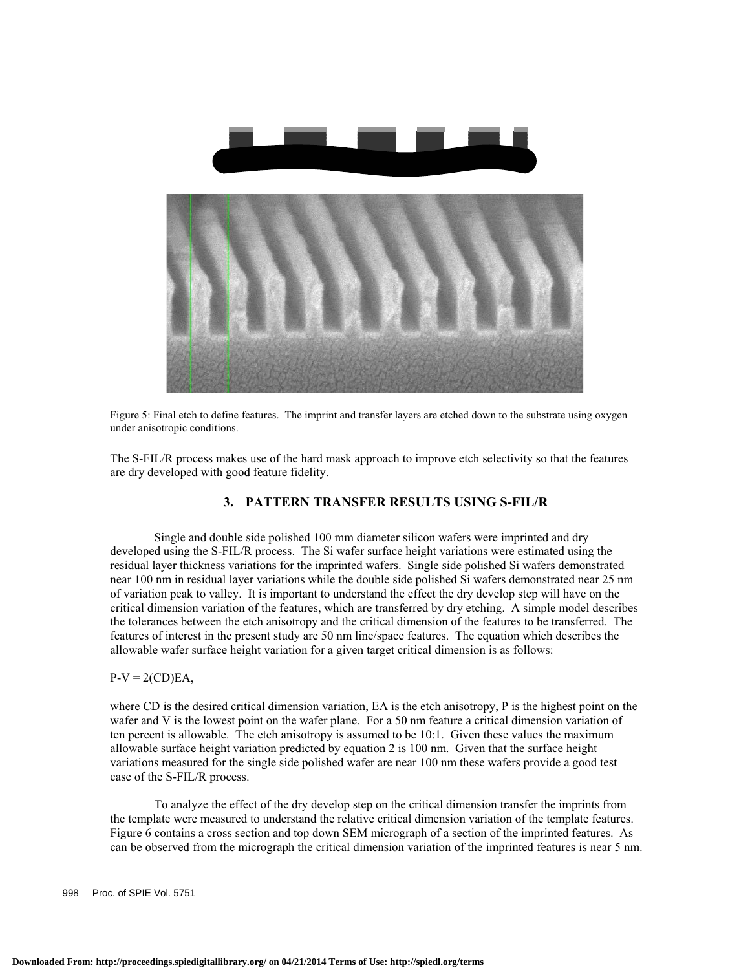

Figure 5: Final etch to define features. The imprint and transfer layers are etched down to the substrate using oxygen under anisotropic conditions.

The S-FIL/R process makes use of the hard mask approach to improve etch selectivity so that the features are dry developed with good feature fidelity.

# **3. PATTERN TRANSFER RESULTS USING S-FIL/R**

Single and double side polished 100 mm diameter silicon wafers were imprinted and dry developed using the S-FIL/R process. The Si wafer surface height variations were estimated using the residual layer thickness variations for the imprinted wafers. Single side polished Si wafers demonstrated near 100 nm in residual layer variations while the double side polished Si wafers demonstrated near 25 nm of variation peak to valley. It is important to understand the effect the dry develop step will have on the critical dimension variation of the features, which are transferred by dry etching. A simple model describes the tolerances between the etch anisotropy and the critical dimension of the features to be transferred. The features of interest in the present study are 50 nm line/space features. The equation which describes the allowable wafer surface height variation for a given target critical dimension is as follows:

#### $P-V = 2(CD)EA$ ,

where CD is the desired critical dimension variation, EA is the etch anisotropy, P is the highest point on the wafer and V is the lowest point on the wafer plane. For a 50 nm feature a critical dimension variation of ten percent is allowable. The etch anisotropy is assumed to be 10:1. Given these values the maximum allowable surface height variation predicted by equation 2 is 100 nm. Given that the surface height variations measured for the single side polished wafer are near 100 nm these wafers provide a good test case of the S-FIL/R process.

To analyze the effect of the dry develop step on the critical dimension transfer the imprints from the template were measured to understand the relative critical dimension variation of the template features. Figure 6 contains a cross section and top down SEM micrograph of a section of the imprinted features. As can be observed from the micrograph the critical dimension variation of the imprinted features is near 5 nm.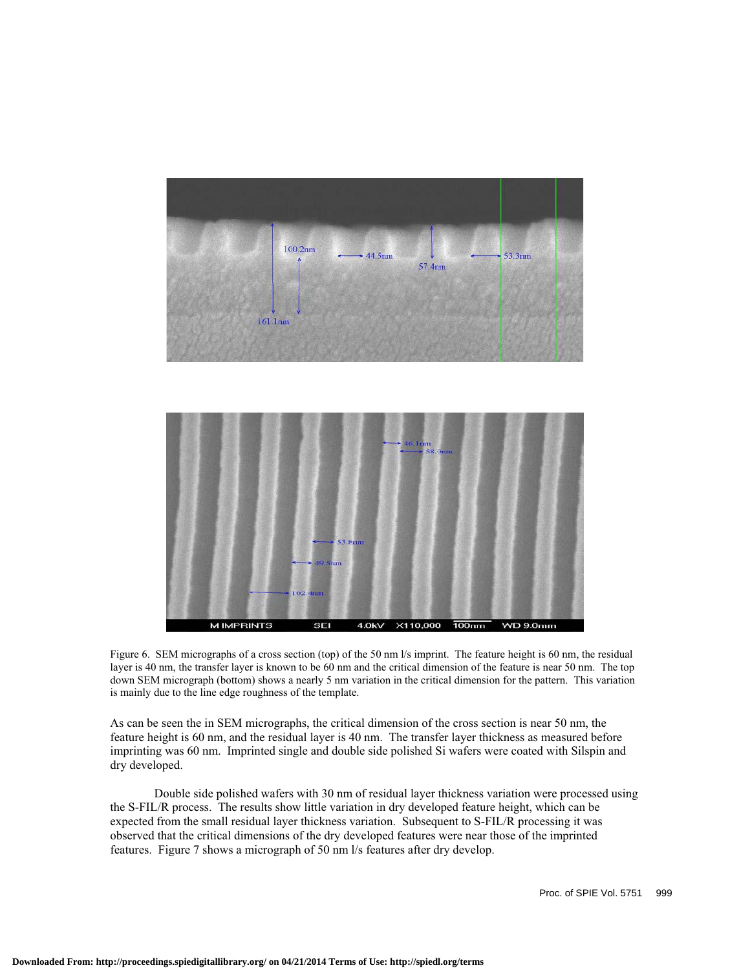

Figure 6. SEM micrographs of a cross section (top) of the 50 nm l/s imprint. The feature height is 60 nm, the residual layer is 40 nm, the transfer layer is known to be 60 nm and the critical dimension of the feature is near 50 nm. The top down SEM micrograph (bottom) shows a nearly 5 nm variation in the critical dimension for the pattern. This variation is mainly due to the line edge roughness of the template.

As can be seen the in SEM micrographs, the critical dimension of the cross section is near 50 nm, the feature height is 60 nm, and the residual layer is 40 nm. The transfer layer thickness as measured before imprinting was 60 nm. Imprinted single and double side polished Si wafers were coated with Silspin and dry developed.

Double side polished wafers with 30 nm of residual layer thickness variation were processed using the S-FIL/R process. The results show little variation in dry developed feature height, which can be expected from the small residual layer thickness variation. Subsequent to S-FIL/R processing it was observed that the critical dimensions of the dry developed features were near those of the imprinted features. Figure 7 shows a micrograph of 50 nm l/s features after dry develop.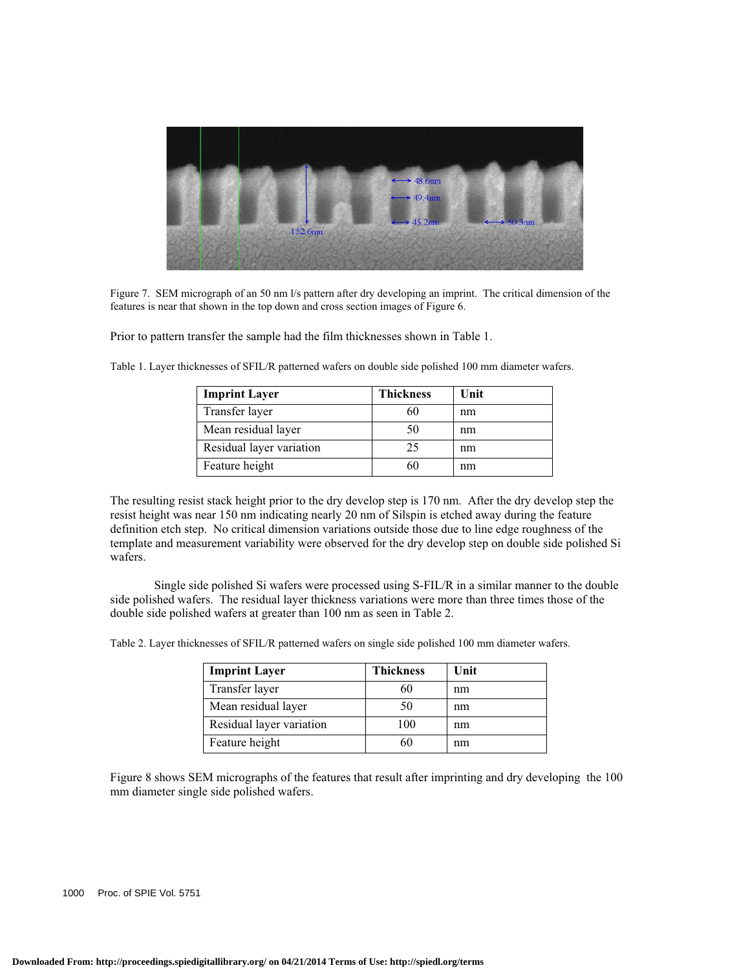

Figure 7. SEM micrograph of an 50 nm l/s pattern after dry developing an imprint. The critical dimension of the features is near that shown in the top down and cross section images of Figure 6.

Prior to pattern transfer the sample had the film thicknesses shown in Table 1.

| <b>Imprint Layer</b>     | <b>Thickness</b> | Unit |
|--------------------------|------------------|------|
| Transfer layer           | 60               | nm   |
| Mean residual layer      | 50               | nm   |
| Residual layer variation | 25               | nm   |
| Feature height           |                  | nm   |

Table 1. Layer thicknesses of SFIL/R patterned wafers on double side polished 100 mm diameter wafers.

The resulting resist stack height prior to the dry develop step is 170 nm. After the dry develop step the resist height was near 150 nm indicating nearly 20 nm of Silspin is etched away during the feature definition etch step. No critical dimension variations outside those due to line edge roughness of the template and measurement variability were observed for the dry develop step on double side polished Si wafers.

Single side polished Si wafers were processed using S-FIL/R in a similar manner to the double side polished wafers. The residual layer thickness variations were more than three times those of the double side polished wafers at greater than 100 nm as seen in Table 2.

| <b>Imprint Layer</b>     | <b>Thickness</b> | Unit |
|--------------------------|------------------|------|
| Transfer layer           | 60               | nm   |
| Mean residual layer      | 50               | nm   |
| Residual layer variation | 100              | nm   |
| Feature height           | 60               | nm   |

Table 2. Layer thicknesses of SFIL/R patterned wafers on single side polished 100 mm diameter wafers.

Figure 8 shows SEM micrographs of the features that result after imprinting and dry developing the 100 mm diameter single side polished wafers.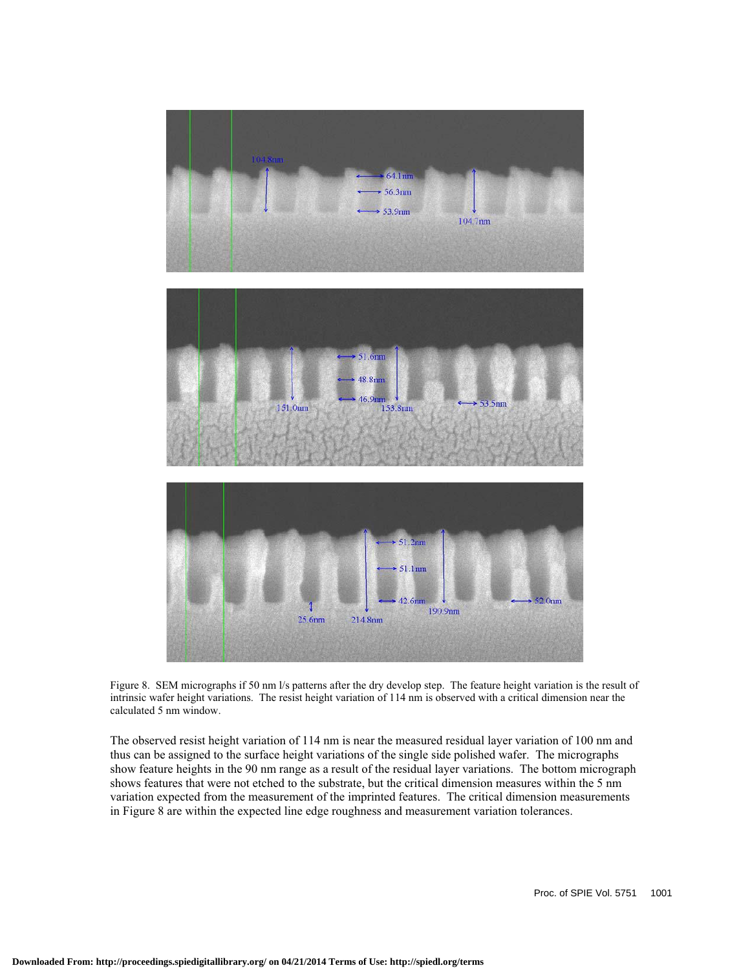

Figure 8. SEM micrographs if 50 nm l/s patterns after the dry develop step. The feature height variation is the result of intrinsic wafer height variations. The resist height variation of 114 nm is observed with a critical dimension near the calculated 5 nm window.

The observed resist height variation of 114 nm is near the measured residual layer variation of 100 nm and thus can be assigned to the surface height variations of the single side polished wafer. The micrographs show feature heights in the 90 nm range as a result of the residual layer variations. The bottom micrograph shows features that were not etched to the substrate, but the critical dimension measures within the 5 nm variation expected from the measurement of the imprinted features. The critical dimension measurements in Figure 8 are within the expected line edge roughness and measurement variation tolerances.